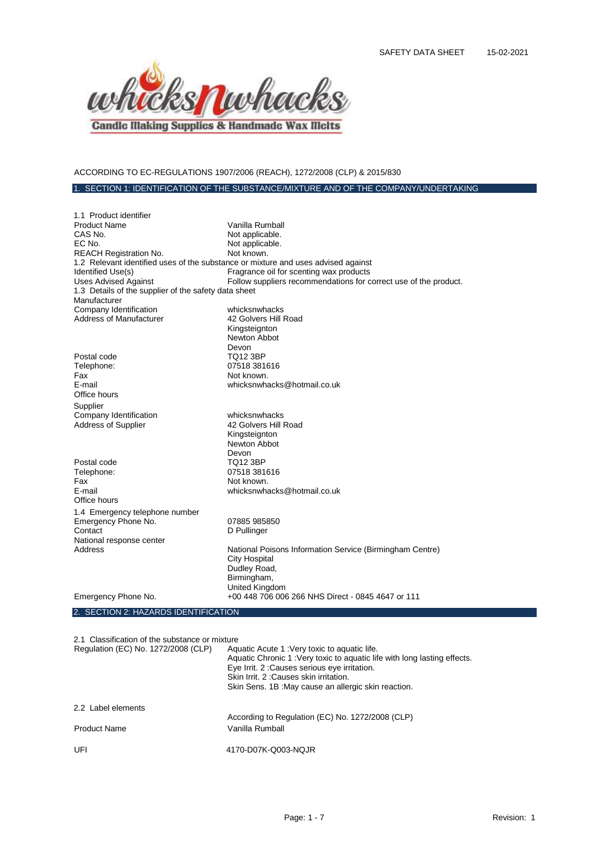

# ACCORDING TO EC-REGULATIONS 1907/2006 (REACH), 1272/2008 (CLP) & 2015/830

## 1. SECTION 1: IDENTIFICATION OF THE SUBSTANCE/MIXTURE AND OF THE COMPANY/UNDERTAKING

| 1.1 Product identifier                                                            |                                                                  |
|-----------------------------------------------------------------------------------|------------------------------------------------------------------|
| <b>Product Name</b>                                                               | Vanilla Rumball                                                  |
| CAS No.                                                                           | Not applicable.                                                  |
| EC No.                                                                            | Not applicable.                                                  |
| <b>REACH Registration No.</b>                                                     | Not known.                                                       |
| 1.2 Relevant identified uses of the substance or mixture and uses advised against |                                                                  |
| Identified Use(s)                                                                 | Fragrance oil for scenting wax products                          |
| <b>Uses Advised Against</b>                                                       | Follow suppliers recommendations for correct use of the product. |
| 1.3 Details of the supplier of the safety data sheet                              |                                                                  |
| Manufacturer                                                                      |                                                                  |
| Company Identification                                                            | whicksnwhacks                                                    |
| <b>Address of Manufacturer</b>                                                    | 42 Golvers Hill Road                                             |
|                                                                                   | Kingsteignton                                                    |
|                                                                                   | Newton Abbot                                                     |
|                                                                                   | Devon                                                            |
| Postal code                                                                       | <b>TQ12 3BP</b>                                                  |
| Telephone:                                                                        | 07518 381616                                                     |
| Fax                                                                               | Not known.                                                       |
| E-mail                                                                            | whicksnwhacks@hotmail.co.uk                                      |
| Office hours                                                                      |                                                                  |
| Supplier                                                                          |                                                                  |
| Company Identification                                                            | whicksnwhacks                                                    |
| Address of Supplier                                                               | 42 Golvers Hill Road                                             |
|                                                                                   | Kingsteignton                                                    |
|                                                                                   | Newton Abbot                                                     |
|                                                                                   | Devon                                                            |
| Postal code                                                                       | <b>TQ12 3BP</b>                                                  |
| Telephone:                                                                        | 07518 381616                                                     |
| Fax                                                                               | Not known.                                                       |
| E-mail                                                                            | whicksnwhacks@hotmail.co.uk                                      |
| Office hours                                                                      |                                                                  |
| 1.4 Emergency telephone number                                                    |                                                                  |
| Emergency Phone No.                                                               | 07885 985850                                                     |
| Contact                                                                           | D Pullinger                                                      |
| National response center                                                          |                                                                  |
| Address                                                                           | National Poisons Information Service (Birmingham Centre)         |
|                                                                                   | <b>City Hospital</b>                                             |
|                                                                                   | Dudley Road,                                                     |
|                                                                                   | Birmingham,                                                      |
|                                                                                   | United Kingdom                                                   |
| Emergency Phone No.                                                               | +00 448 706 006 266 NHS Direct - 0845 4647 or 111                |
|                                                                                   |                                                                  |
| 2. SECTION 2: HAZARDS IDENTIFICATION                                              |                                                                  |

2.1 Classification of the substance or mixture

| Regulation (EC) No. 1272/2008 (CLP) | Aquatic Acute 1: Very toxic to aquatic life.<br>Aquatic Chronic 1: Very toxic to aquatic life with long lasting effects.<br>Eye Irrit. 2: Causes serious eye irritation.<br>Skin Irrit. 2: Causes skin irritation.<br>Skin Sens. 1B: May cause an allergic skin reaction. |
|-------------------------------------|---------------------------------------------------------------------------------------------------------------------------------------------------------------------------------------------------------------------------------------------------------------------------|
| 2.2 Label elements                  | According to Regulation (EC) No. 1272/2008 (CLP)                                                                                                                                                                                                                          |
| <b>Product Name</b>                 | Vanilla Rumball                                                                                                                                                                                                                                                           |
| UFI                                 | 4170-D07K-Q003-NQJR                                                                                                                                                                                                                                                       |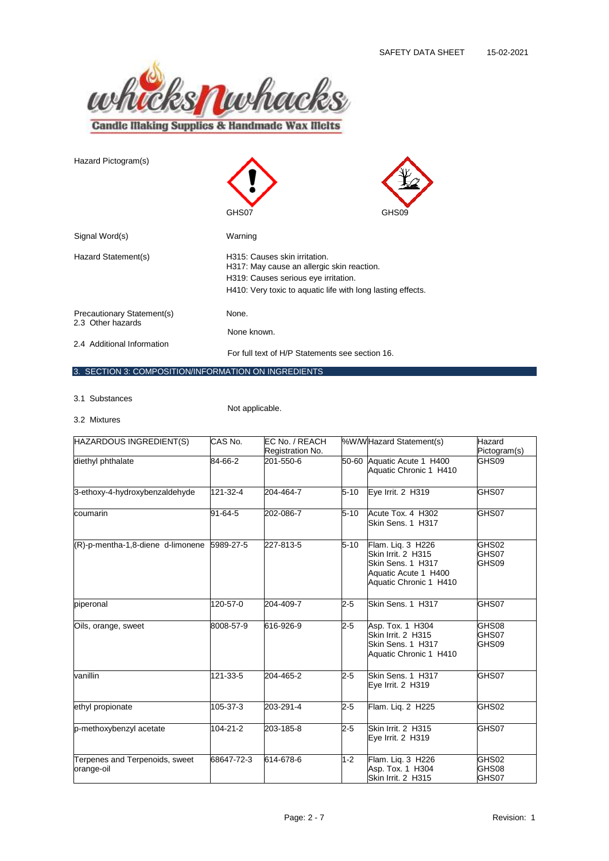

| Hazard Pictogram(s)                             | GHS07                                                                                                               | GHS09 |  |
|-------------------------------------------------|---------------------------------------------------------------------------------------------------------------------|-------|--|
| Signal Word(s)                                  | Warning                                                                                                             |       |  |
| Hazard Statement(s)                             | H315: Causes skin irritation.<br>H317: May cause an allergic skin reaction.<br>H319: Causes serious eye irritation. |       |  |
|                                                 | H410: Very toxic to aquatic life with long lasting effects.                                                         |       |  |
| Precautionary Statement(s)<br>2.3 Other hazards | None.                                                                                                               |       |  |
|                                                 | None known.                                                                                                         |       |  |
| 2.4 Additional Information                      | For full text of H/P Statements see section 16.                                                                     |       |  |

## 3. SECTION 3: COMPOSITION/INFORMATION ON INGREDIENTS

3.1 Substances

Not applicable.

3.2 Mixtures

| HAZARDOUS INGREDIENT(S)                      | CAS No.    | EC No. / REACH<br>Registration No. |          | %W/WHazard Statement(s)                                                                                        | Hazard<br>Pictogram(s)  |
|----------------------------------------------|------------|------------------------------------|----------|----------------------------------------------------------------------------------------------------------------|-------------------------|
| diethyl phthalate                            | 84-66-2    | 201-550-6                          |          | 50-60 Aquatic Acute 1 H400<br>Aquatic Chronic 1 H410                                                           | GHS09                   |
| 3-ethoxy-4-hydroxybenzaldehyde               | 121-32-4   | 204-464-7                          | $5 - 10$ | Eye Irrit. 2 H319                                                                                              | GHS07                   |
| coumarin                                     | 91-64-5    | 202-086-7                          | $5 - 10$ | Acute Tox. 4 H302<br>Skin Sens. 1 H317                                                                         | GHS07                   |
| (R)-p-mentha-1,8-diene d-limonene 5989-27-5  |            | 227-813-5                          | $5 - 10$ | Flam. Lig. 3 H226<br>Skin Irrit. 2 H315<br>Skin Sens, 1 H317<br>Aquatic Acute 1 H400<br>Aquatic Chronic 1 H410 | GHS02<br>GHS07<br>GHS09 |
| piperonal                                    | 120-57-0   | 204-409-7                          | $2 - 5$  | Skin Sens. 1 H317                                                                                              | GHS07                   |
| Oils, orange, sweet                          | 8008-57-9  | 616-926-9                          | $2 - 5$  | Asp. Tox. 1 H304<br>Skin Irrit. 2 H315<br>Skin Sens. 1 H317<br>Aquatic Chronic 1 H410                          | GHS08<br>GHS07<br>GHS09 |
| vanillin                                     | 121-33-5   | 204-465-2                          | $2 - 5$  | Skin Sens. 1 H317<br>Eye Irrit. 2 H319                                                                         | GHS07                   |
| ethyl propionate                             | 105-37-3   | 203-291-4                          | $2 - 5$  | Flam. Liq. 2 H225                                                                                              | GHS02                   |
| p-methoxybenzyl acetate                      | 104-21-2   | 203-185-8                          | $2 - 5$  | Skin Irrit. 2 H315<br>Eye Irrit. 2 H319                                                                        | GHS07                   |
| Terpenes and Terpenoids, sweet<br>orange-oil | 68647-72-3 | 614-678-6                          | $1 - 2$  | Flam. Lig. 3 H226<br>Asp. Tox. 1 H304<br>Skin Irrit. 2 H315                                                    | GHS02<br>GHS08<br>GHS07 |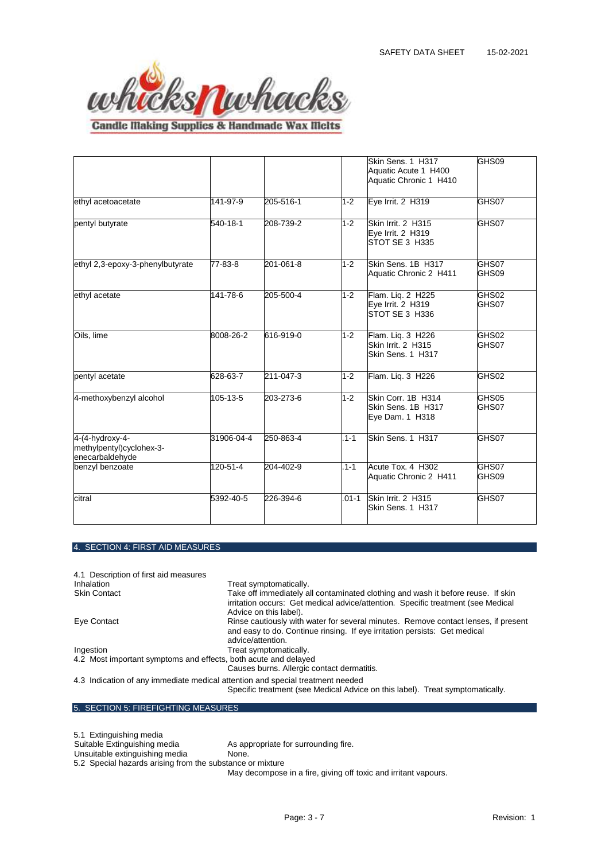

**Candle Making Supplies & Handmade Wax Melts** 

|                                                                |            |                 |           | Skin Sens. 1 H317<br>Aquatic Acute 1 H400<br>Aquatic Chronic 1 H410 | GHS09          |
|----------------------------------------------------------------|------------|-----------------|-----------|---------------------------------------------------------------------|----------------|
| ethyl acetoacetate                                             | 141-97-9   | 205-516-1       | $1 - 2$   | Eye Irrit. 2 H319                                                   | GHS07          |
| pentyl butyrate                                                | 540-18-1   | 208-739-2       | $1 - 2$   | Skin Irrit. 2 H315<br>Eve Irrit. 2 H319<br><b>ISTOT SE 3 H335</b>   | GHS07          |
| ethyl 2,3-epoxy-3-phenylbutyrate                               | 77-83-8    | $201 - 061 - 8$ | $1 - 2$   | Skin Sens. 1B H317<br>Aquatic Chronic 2 H411                        | GHS07<br>GHS09 |
| ethyl acetate                                                  | 141-78-6   | 205-500-4       | $1 - 2$   | Flam. Liq. 2 H225<br>Eye Irrit. 2 H319<br>STOT SE 3 H336            | GHS02<br>GHS07 |
| Oils, lime                                                     | 8008-26-2  | 616-919-0       | $1 - 2$   | Flam. Liq. 3 H226<br>Skin Irrit. 2 H315<br>Skin Sens. 1 H317        | GHS02<br>GHS07 |
| pentyl acetate                                                 | 628-63-7   | 211-047-3       | $1 - 2$   | Flam. Lig. 3 H226                                                   | GHS02          |
| 4-methoxybenzyl alcohol                                        | 105-13-5   | 203-273-6       | $1 - 2$   | Skin Corr. 1B H314<br>Skin Sens, 1B H317<br>Eye Dam. 1 H318         | GHS05<br>GHS07 |
| 4-(4-hydroxy-4-<br>methylpentyl)cyclohex-3-<br>enecarbaldehyde | 31906-04-4 | 250-863-4       | $.1 - 1$  | Skin Sens. 1 H317                                                   | GHS07          |
| benzyl benzoate                                                | 120-51-4   | 204-402-9       | $.1 - 1$  | Acute Tox. 4 H302<br>Aquatic Chronic 2 H411                         | GHS07<br>GHS09 |
| citral                                                         | 5392-40-5  | 226-394-6       | $.01 - 1$ | Skin Irrit. 2 H315<br>Skin Sens. 1 H317                             | GHS07          |

# 4. SECTION 4: FIRST AID MEASURES

| 4.1 Description of first aid measures                                          |                                                                                                                                                                                                |
|--------------------------------------------------------------------------------|------------------------------------------------------------------------------------------------------------------------------------------------------------------------------------------------|
| <b>Inhalation</b>                                                              | Treat symptomatically.                                                                                                                                                                         |
| <b>Skin Contact</b>                                                            | Take off immediately all contaminated clothing and wash it before reuse. If skin<br>irritation occurs: Get medical advice/attention. Specific treatment (see Medical<br>Advice on this label). |
| Eye Contact                                                                    | Rinse cautiously with water for several minutes. Remove contact lenses, if present<br>and easy to do. Continue rinsing. If eye irritation persists: Get medical<br>advice/attention.           |
| Ingestion                                                                      | Treat symptomatically.                                                                                                                                                                         |
| 4.2 Most important symptoms and effects, both acute and delayed                |                                                                                                                                                                                                |
|                                                                                | Causes burns. Allergic contact dermatitis.                                                                                                                                                     |
| 4.3 Indication of any immediate medical attention and special treatment needed | Specific treatment (see Medical Advice on this label). Treat symptomatically.                                                                                                                  |

|  |  |  |  | 5. SECTION 5: FIREFIGHTING MEASURES |  |
|--|--|--|--|-------------------------------------|--|
|--|--|--|--|-------------------------------------|--|

5.1 Extinguishing media As appropriate for surrounding fire. Unsuitable extinguishing media **None**.

5.2 Special hazards arising from the substance or mixture

May decompose in a fire, giving off toxic and irritant vapours.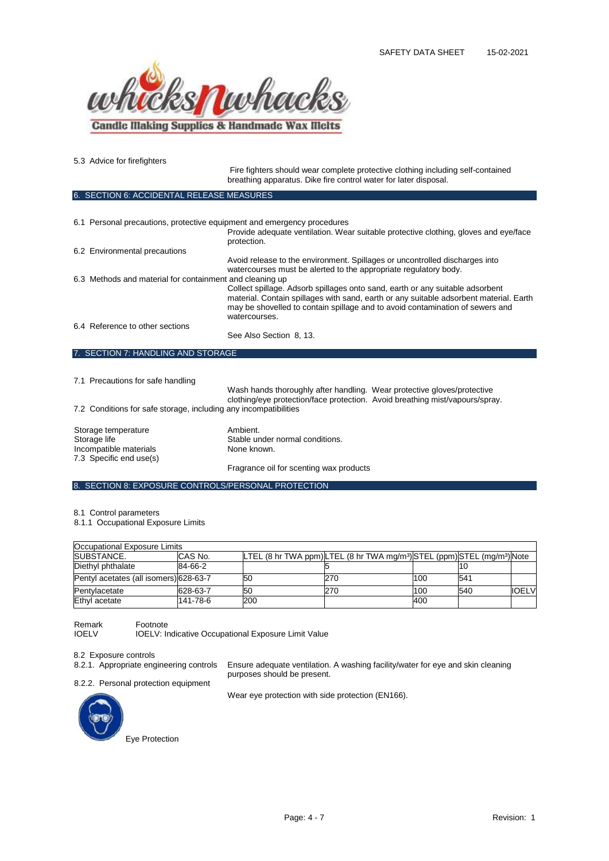

5.3 Advice for firefighters

Fire fighters should wear complete protective clothing including self-contained breathing apparatus. Dike fire control water for later disposal. SECTION 6: ACCIDENTAL RELEASE MEASURES 6.1 Personal precautions, protective equipment and emergency procedures Provide adequate ventilation. Wear suitable protective clothing, gloves and eye/face protection. 6.2 Environmental precautions Avoid release to the environment. Spillages or uncontrolled discharges into watercourses must be alerted to the appropriate regulatory body. 6.3 Methods and material for containment and cleaning up Collect spillage. Adsorb spillages onto sand, earth or any suitable adsorbent material. Contain spillages with sand, earth or any suitable adsorbent material. Earth may be shovelled to contain spillage and to avoid contamination of sewers and watercourses. 6.4 Reference to other sections See Also Section 8, 13. 7. SECTION 7: HANDLING AND STORAGE 7.1 Precautions for safe handling

Wash hands thoroughly after handling. Wear protective gloves/protective clothing/eye protection/face protection. Avoid breathing mist/vapours/spray. 7.2 Conditions for safe storage, including any incompatibilities Storage temperature **Ambient.** Storage life Stable under normal conditions.<br>
Incompatible materials<br>
None known. Incompatible materials 7.3 Specific end use(s) Fragrance oil for scenting wax products

## 8. SECTION 8: EXPOSURE CONTROLS/PERSONAL PROTECTION

8.1 Control parameters

8.1.1 Occupational Exposure Limits

| Occupational Exposure Limits           |          |     |                                                                                              |     |     |              |
|----------------------------------------|----------|-----|----------------------------------------------------------------------------------------------|-----|-----|--------------|
| <b>ISUBSTANCE.</b>                     | CAS No.  |     | LTEL (8 hr TWA ppm)LTEL (8 hr TWA mg/m <sup>3</sup> )STEL (ppm)STEL (mg/m <sup>3</sup> )Note |     |     |              |
| Diethyl phthalate                      | 84-66-2  |     |                                                                                              |     |     |              |
| Pentyl acetates (all isomers) 628-63-7 |          | 50  | 270                                                                                          | 100 | 541 |              |
| Pentylacetate                          | 628-63-7 | 50  | 270                                                                                          | 100 | 540 | <b>IOELV</b> |
| Ethyl acetate                          | 141-78-6 | 200 |                                                                                              | 400 |     |              |

purposes should be present.

Remark Footnote<br>IOELV IOELV: In

IOELV: Indicative Occupational Exposure Limit Value

8.2 Exposure controls

8.2.1. Appropriate engineering controls Ensure adequate ventilation. A washing facility/water for eye and skin cleaning

8.2.2. Personal protection equipment

Wear eye protection with side protection (EN166).

Eye Protection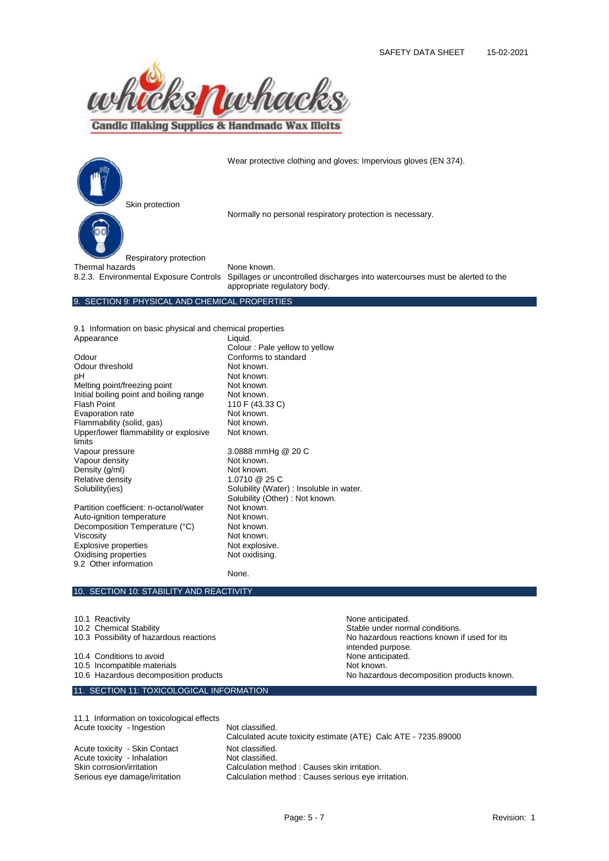

**Candle Making Supplies & Handmade Wax Melts** 



Wear protective clothing and gloves: Impervious gloves (EN 374).

Normally no personal respiratory protection is necessary.

Respiratory protection Thermal hazards  $\overrightarrow{a}$  None known.

8.2.3. Environmental Exposure Controls Spillages or uncontrolled discharges into watercourses must be alerted to the appropriate regulatory body.

#### 9. SECTION 9: PHYSICAL AND CHEMICAL PROPERTIES

9.1 Information on basic physical and chemical properties Appearance Liquid.

Odour Conforms to standard Odour threshold Not known. pH Not known.<br>Melting point/freezing point Not known. Melting point/freezing point **Not known.**<br>
Initial boiling point and boiling range Not known. Initial boiling point and boiling range Flash Point 110 F (43.33 C)<br>Evaporation rate Not known. Evaporation rate **Not known.**<br>Flammability (solid. gas) **Not known.**  $F$ lammability (solid, gas) Upper/lower flammability or explosive limits<br>Vapour pressure Vapour density Not known. Density (g/ml) Not known.<br>
Relative density 1.0710 25 C Relative density<br>Solubility(ies) Partition coefficient: n-octanol/water Not known.<br>Auto-ignition temperature Not known.

Auto-ignition temperature Mot known.<br>
Decomposition Temperature (°C) Not known Decomposition Temperature (°C) Viscosity<br>
Explosive properties<br>
Not explosive. Explosive properties<br>
Oxidising properties<br>
Oxidising properties<br>
Not oxidising. Oxidising properties 9.2 Other information

Colour : Pale yellow to yellow Not known. 3.0888 mmHg @ 20 C Solubility (Water) : Insoluble in water. Solubility (Other) : Not known.<br>Not known.

None.

#### 10. SECTION 10: STABILITY AND REACTIVITY

10.1 Reactivity **None anticipated.** 10.2 Chemical Stability<br>10.3 Possibility of hazardous reactions stable under normal conditions.<br>10.3 Possibility of hazardous reactions No hazardous reactions known if used for its intended purpose. 10.4 Conditions to avoid<br>
10.5 Incompatible materials<br>
10.5 Incompatible materials 10.5 Incompatible materials<br>10.6 Hazardous decomposition products No hazardous decomposition products known. 11. SECTION 11: TOXICOLOGICAL INFORMATION

11.1 Information on toxicological effects Acute toxicity - Ingestion Not classified. Acute toxicity - Skin Contact Not classified.<br>
Acute toxicity - Inhalation Not classified. Acute toxicity - Inhalation<br>Skin corrosion/irritation

Calculated acute toxicity estimate (ATE) Calc ATE - 7235.89000 Calculation method : Causes skin irritation. Serious eye damage/irritation Calculation method : Causes serious eye irritation.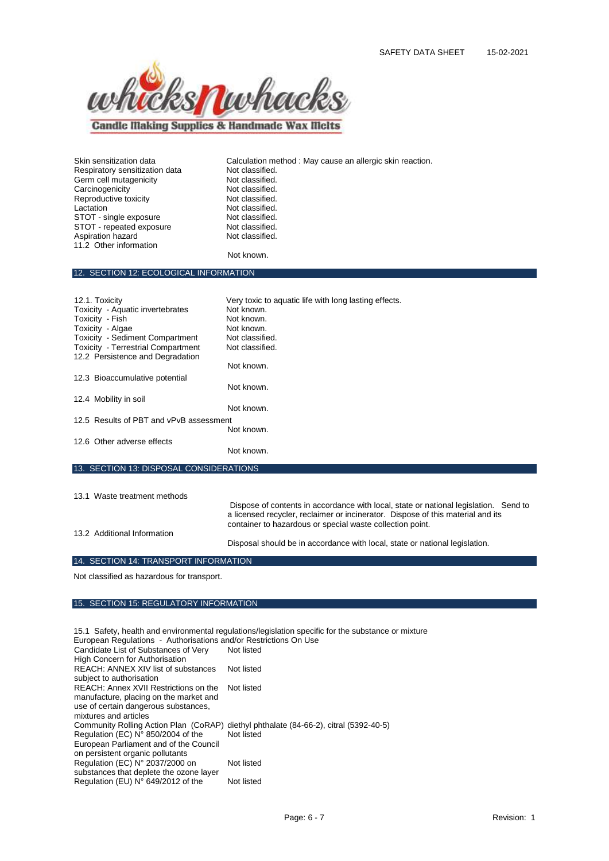

**Candle Making Supplies & Handmade Wax Melts** 

Respiratory sensitization data<br>
Germ cell mutagenicity<br>
Not classified. Germ cell mutagenicity **Not classified.**<br>
Carcinogenicity **Not classified.** Carcinogenicity **Not classified.**<br>
Reproductive toxicity **Not classified.** Reproductive toxicity Lactation Not classified.<br>
STOT - single exposure Not classified. STOT - single exposure Not classified.<br>STOT - repeated exposure Not classified. STOT - repeated exposure Mot classified.<br>
Aspiration hazard Mot classified. Aspiration hazard 11.2 Other information

Skin sensitization data **Calculation method : May cause an allergic skin reaction.**<br>
Respiratory sensitization data **Not classified**.

Not known.

#### 12. SECTION 12: ECOLOGICAL INFORMATION

| 12.1. Toxicity<br>Toxicity - Aquatic invertebrates<br>Toxicity - Fish<br>Toxicity - Algae<br><b>Toxicity - Sediment Compartment</b><br><b>Toxicity - Terrestrial Compartment</b> | Very toxic to aquatic life with long lasting effects.<br>Not known.<br>Not known.<br>Not known.<br>Not classified.<br>Not classified. |
|----------------------------------------------------------------------------------------------------------------------------------------------------------------------------------|---------------------------------------------------------------------------------------------------------------------------------------|
| 12.2 Persistence and Degradation                                                                                                                                                 |                                                                                                                                       |
|                                                                                                                                                                                  | Not known.                                                                                                                            |
| 12.3 Bioaccumulative potential                                                                                                                                                   |                                                                                                                                       |
|                                                                                                                                                                                  | Not known.                                                                                                                            |
| 12.4 Mobility in soil                                                                                                                                                            |                                                                                                                                       |
|                                                                                                                                                                                  | Not known.                                                                                                                            |
| 12.5 Results of PBT and vPvB assessment                                                                                                                                          |                                                                                                                                       |
|                                                                                                                                                                                  | Not known.                                                                                                                            |
| 12.6 Other adverse effects                                                                                                                                                       |                                                                                                                                       |
|                                                                                                                                                                                  | Not known.                                                                                                                            |
| 13. SECTION 13: DISPOSAL CONSIDERATIONS                                                                                                                                          |                                                                                                                                       |

# 13.1 Waste treatment methods Dispose of contents in accordance with local, state or national legislation. Send to a licensed recycler, reclaimer or incinerator. Dispose of this material and its container to hazardous or special waste collection point.

13.2 Additional Information

Disposal should be in accordance with local, state or national legislation.

## 14. SECTION 14: TRANSPORT INFORMATION

Not classified as hazardous for transport.

## 15. SECTION 15: REGULATORY INFORMATION

15.1 Safety, health and environmental regulations/legislation specific for the substance or mixture European Regulations - Authorisations and/or Restrictions On Use Candidate List of Substances of Very High Concern for Authorisation Not listed REACH: ANNEX XIV list of substances subject to authorisation Not listed REACH: Annex XVII Restrictions on the manufacture, placing on the market and use of certain dangerous substances, mixtures and articles Not listed Community Rolling Action Plan (CoRAP) diethyl phthalate (84-66-2), citral (5392-40-5) Regulation (EC) N° 850/2004 of the European Parliament and of the Council on persistent organic pollutants Not listed Regulation (EC) N° 2037/2000 on substances that deplete the ozone layer Not listed Regulation (EU)  $N^{\circ}$  649/2012 of the Not listed